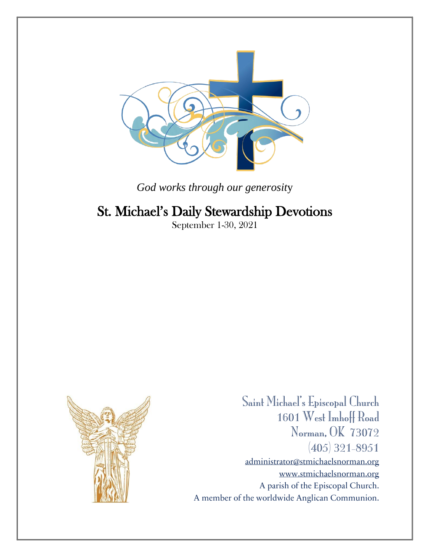

*God works through our generosit*y

# St. Michael's Daily Stewardship Devotions

September 1-30, 2021



Saint Michael's Episcopal Church 1601 West Imhoff Road Norman, OK 73072 (405) 321-8951 [administrator@stmichaelsnorman.org](mailto:administrator@stmichaelsnorman.org) [www.stmichaelsnorman.org](http://www.stmichaelsnorman.org/) A parish of the Episcopal Church. A member of the worldwide Anglican Communion.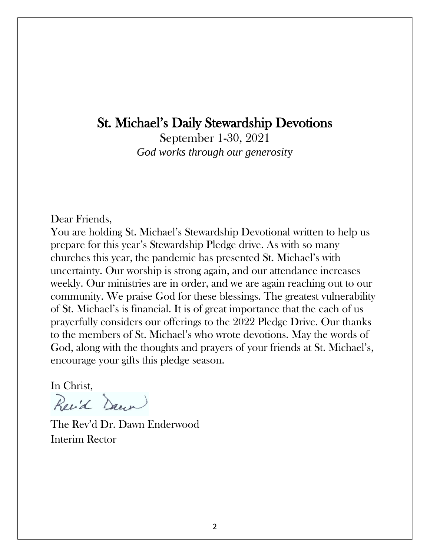# St. Michael's Daily Stewardship Devotions

September 1-30, 2021 *God works through our generosit*y

Dear Friends,

You are holding St. Michael's Stewardship Devotional written to help us prepare for this year's Stewardship Pledge drive. As with so many churches this year, the pandemic has presented St. Michael's with uncertainty. Our worship is strong again, and our attendance increases weekly. Our ministries are in order, and we are again reaching out to our community. We praise God for these blessings. The greatest vulnerability of St. Michael's is financial. It is of great importance that the each of us prayerfully considers our offerings to the 2022 Pledge Drive. Our thanks to the members of St. Michael's who wrote devotions. May the words of God, along with the thoughts and prayers of your friends at St. Michael's, encourage your gifts this pledge season.

In Christ,

Revid Dawn

The Rev'd Dr. Dawn Enderwood Interim Rector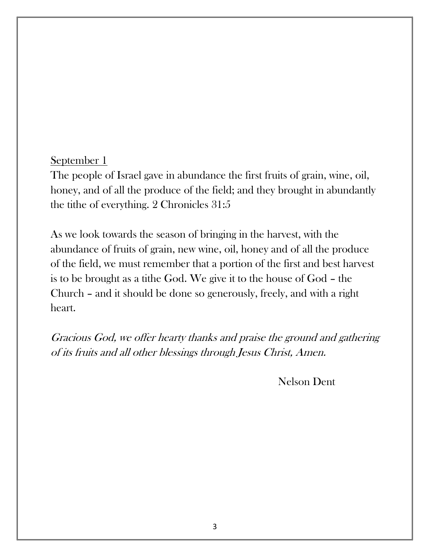The people of Israel gave in abundance the first fruits of grain, wine, oil, honey, and of all the produce of the field; and they brought in abundantly the tithe of everything. 2 Chronicles 31:5

As we look towards the season of bringing in the harvest, with the abundance of fruits of grain, new wine, oil, honey and of all the produce of the field, we must remember that a portion of the first and best harvest is to be brought as a tithe God. We give it to the house of God – the Church – and it should be done so generously, freely, and with a right heart.

Gracious God, we offer hearty thanks and praise the ground and gathering of its fruits and all other blessings through Jesus Christ, Amen.

Nelson Dent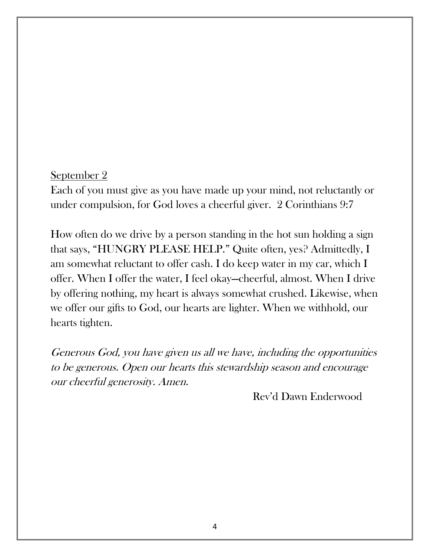Each of you must give as you have made up your mind, not reluctantly or under compulsion, for God loves a cheerful giver. 2 Corinthians 9:7

How often do we drive by a person standing in the hot sun holding a sign that says, "HUNGRY PLEASE HELP." Quite often, yes? Admittedly, I am somewhat reluctant to offer cash. I do keep water in my car, which I offer. When I offer the water, I feel okay—cheerful, almost. When I drive by offering nothing, my heart is always somewhat crushed. Likewise, when we offer our gifts to God, our hearts are lighter. When we withhold, our hearts tighten.

Generous God, you have given us all we have, including the opportunities to be generous. Open our hearts this stewardship season and encourage our cheerful generosity. Amen.

Rev'd Dawn Enderwood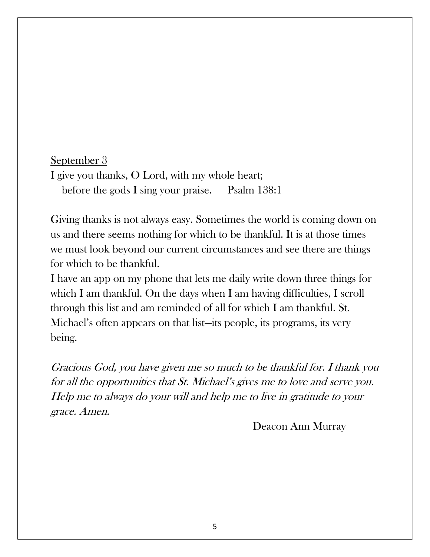## September 3 I give you thanks, O Lord, with my whole heart; before the gods I sing your praise. Psalm 138:1

Giving thanks is not always easy. Sometimes the world is coming down on us and there seems nothing for which to be thankful. It is at those times we must look beyond our current circumstances and see there are things for which to be thankful.

I have an app on my phone that lets me daily write down three things for which I am thankful. On the days when I am having difficulties, I scroll through this list and am reminded of all for which I am thankful. St. Michael's often appears on that list—its people, its programs, its very being.

Gracious God, you have given me so much to be thankful for. I thank you for all the opportunities that St. Michael's gives me to love and serve you. Help me to always do your will and help me to live in gratitude to your grace. Amen.

Deacon Ann Murray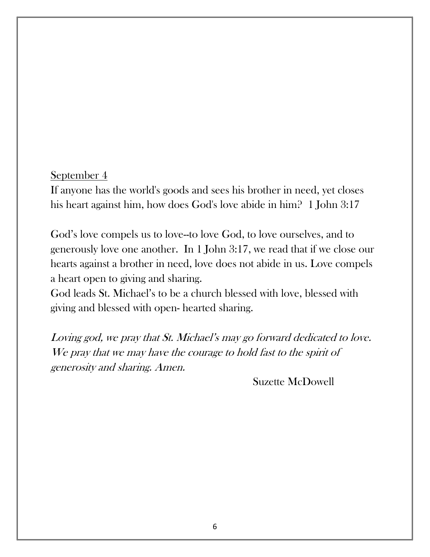If anyone has the world's goods and sees his brother in need, yet closes his heart against him, how does God's love abide in him? 1 John 3:17

God's love compels us to love--to love God, to love ourselves, and to generously love one another. In 1 John 3:17, we read that if we close our hearts against a brother in need, love does not abide in us. Love compels a heart open to giving and sharing.

God leads St. Michael's to be a church blessed with love, blessed with giving and blessed with open- hearted sharing.

Loving god, we pray that St. Michael's may go forward dedicated to love. We pray that we may have the courage to hold fast to the spirit of generosity and sharing. Amen.

Suzette McDowell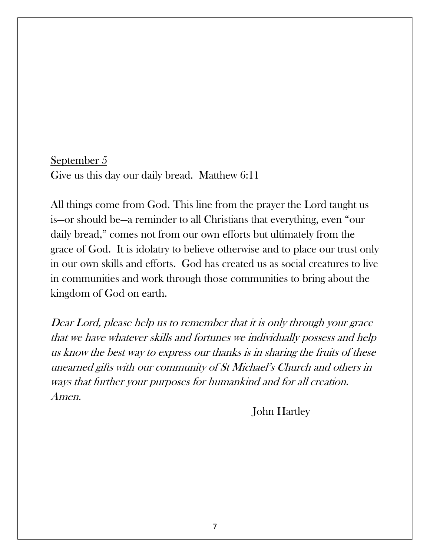September 5 Give us this day our daily bread. Matthew 6:11

All things come from God. This line from the prayer the Lord taught us is—or should be—a reminder to all Christians that everything, even "our daily bread," comes not from our own efforts but ultimately from the grace of God. It is idolatry to believe otherwise and to place our trust only in our own skills and efforts. God has created us as social creatures to live in communities and work through those communities to bring about the kingdom of God on earth.

Dear Lord, please help us to remember that it is only through your grace that we have whatever skills and fortunes we individually possess and help us know the best way to express our thanks is in sharing the fruits of these unearned gifts with our community of St Michael's Church and others in ways that further your purposes for humankind and for all creation. Amen.

John Hartley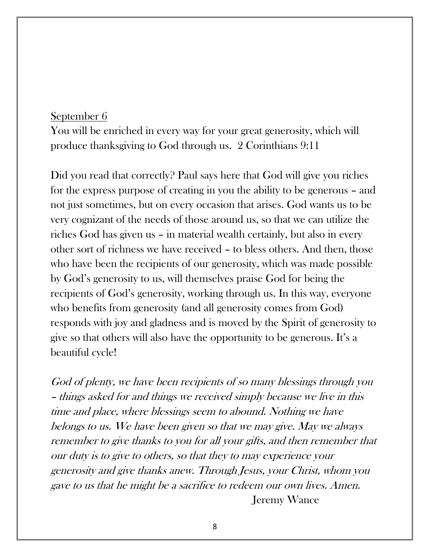You will be enriched in every way for your great generosity, which will produce thanksgiving to God through us. 2 Corinthians 9:11

Did you read that correctly? Paul says here that God will give you riches for the express purpose of creating in you the ability to be generous – and not just sometimes, but on every occasion that arises. God wants us to be very cognizant of the needs of those around us, so that we can utilize the riches God has given us – in material wealth certainly, but also in every other sort of richness we have received – to bless others. And then, those who have been the recipients of our generosity, which was made possible by God's generosity to us, will themselves praise God for being the recipients of God's generosity, working through us. In this way, everyone who benefits from generosity (and all generosity comes from God) responds with joy and gladness and is moved by the Spirit of generosity to give so that others will also have the opportunity to be generous. It's a beautiful cycle!

God of plenty, we have been recipients of so many blessings through you – things asked for and things we received simply because we live in this time and place, where blessings seem to abound. Nothing we have belongs to us. We have been given so that we may give. May we always remember to give thanks to you for all your gifts, and then remember that our duty is to give to others, so that they to may experience your generosity and give thanks anew. Through Jesus, your Christ, whom you gave to us that he might be a sacrifice to redeem our own lives. Amen. Jeremy Wance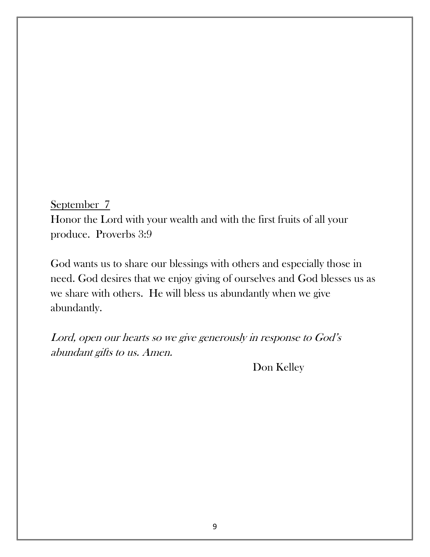September 7 Honor the Lord with your wealth and with the [first fruits](https://get.tithe.ly/blog/first-fruit) of all your produce. Proverbs 3:9

God wants us to share our blessings with others and especially those in need. God desires that we enjoy giving of ourselves and God blesses us as we share with others. He will bless us abundantly when we give abundantly.

Lord, open our hearts so we give generously in response to God's abundant gifts to us. Amen.

Don Kelley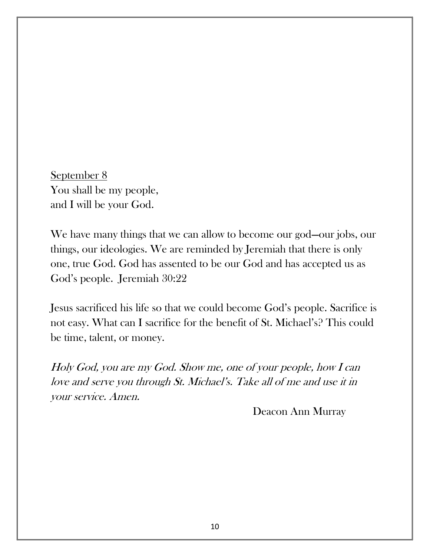September 8 You shall be my people, and I will be your God.

We have many things that we can allow to become our god—our jobs, our things, our ideologies. We are reminded by Jeremiah that there is only one, true God. God has assented to be our God and has accepted us as God's people. Jeremiah 30:22

Jesus sacrificed his life so that we could become God's people. Sacrifice is not easy. What can I sacrifice for the benefit of St. Michael's? This could be time, talent, or money.

Holy God, you are my God. Show me, one of your people, how I can love and serve you through St. Michael's. Take all of me and use it in your service. Amen.

Deacon Ann Murray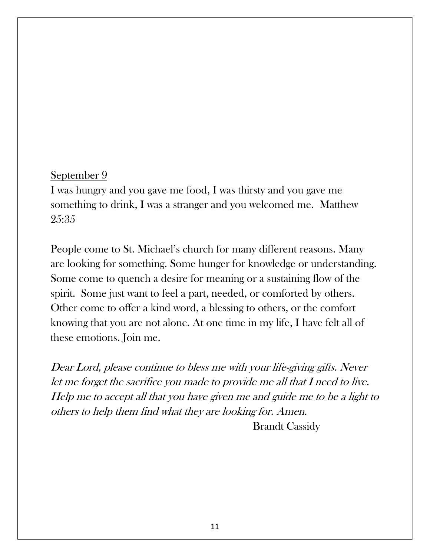I was hungry and you gave me food, I was thirsty and you gave me something to drink, I was a stranger and you welcomed me. Matthew 25:35

People come to St. Michael's church for many different reasons. Many are looking for something. Some hunger for knowledge or understanding. Some come to quench a desire for meaning or a sustaining flow of the spirit. Some just want to feel a part, needed, or comforted by others. Other come to offer a kind word, a blessing to others, or the comfort knowing that you are not alone. At one time in my life, I have felt all of these emotions. Join me.

Dear Lord, please continue to bless me with your life-giving gifts. Never let me forget the sacrifice you made to provide me all that I need to live. Help me to accept all that you have given me and guide me to be a light to others to help them find what they are looking for. Amen.

Brandt Cassidy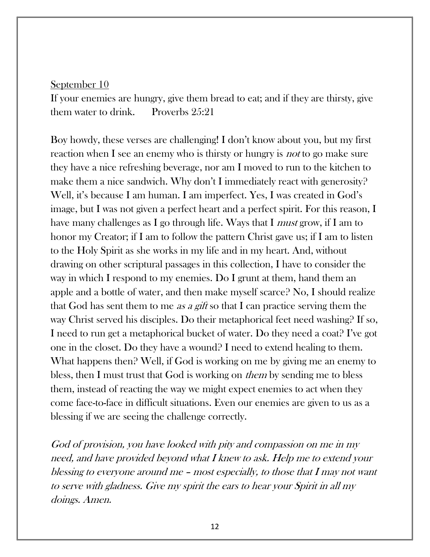If your enemies are hungry, give them bread to eat; and if they are thirsty, give them water to drink. Proverbs 25:21

Boy howdy, these verses are challenging! I don't know about you, but my first reaction when I see an enemy who is thirsty or hungry is *not* to go make sure they have a nice refreshing beverage, nor am I moved to run to the kitchen to make them a nice sandwich. Why don't I immediately react with generosity? Well, it's because I am human. I am imperfect. Yes, I was created in God's image, but I was not given a perfect heart and a perfect spirit. For this reason, I have many challenges as I go through life. Ways that I *must* grow, if I am to honor my Creator; if I am to follow the pattern Christ gave us; if I am to listen to the Holy Spirit as she works in my life and in my heart. And, without drawing on other scriptural passages in this collection, I have to consider the way in which I respond to my enemies. Do I grunt at them, hand them an apple and a bottle of water, and then make myself scarce? No, I should realize that God has sent them to me *as a gift* so that I can practice serving them the way Christ served his disciples. Do their metaphorical feet need washing? If so, I need to run get a metaphorical bucket of water. Do they need a coat? I've got one in the closet. Do they have a wound? I need to extend healing to them. What happens then? Well, if God is working on me by giving me an enemy to bless, then I must trust that God is working on *them* by sending me to bless them, instead of reacting the way we might expect enemies to act when they come face-to-face in difficult situations. Even our enemies are given to us as a blessing if we are seeing the challenge correctly.

God of provision, you have looked with pity and compassion on me in my need, and have provided beyond what I knew to ask. Help me to extend your blessing to everyone around me – most especially, to those that I may not want to serve with gladness. Give my spirit the ears to hear your Spirit in all my doings. Amen.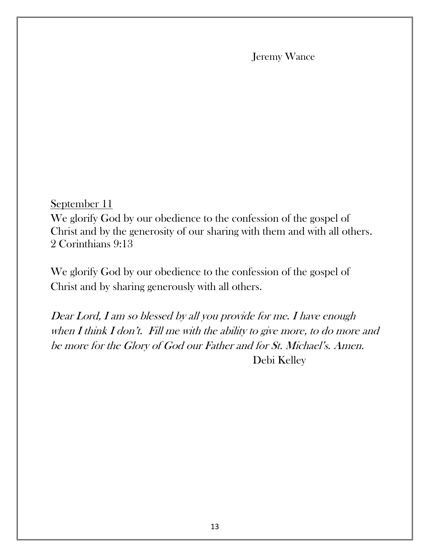Jeremy Wance

September 11

We glorify God by our obedience to the confession of the gospel of Christ and by the generosity of our sharing with them and with all others. 2 Corinthians 9:13

We glorify God by our obedience to the confession of the gospel of Christ and by sharing generously with all others.

Dear Lord, I am so blessed by all you provide for me. I have enough when I think I don't. Fill me with the ability to give more, to do more and be more for the Glory of God our Father and for St. Michael's. Amen. Debi Kelley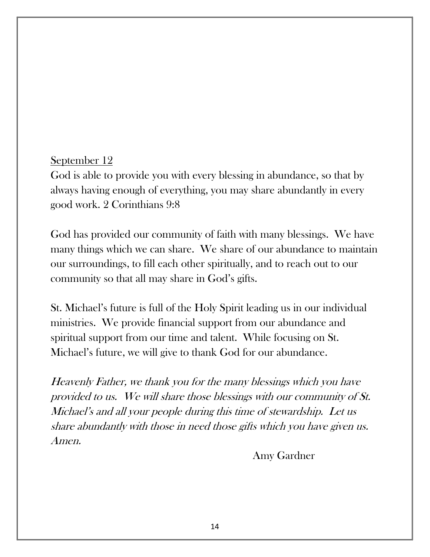God is able to provide you with every blessing in abundance, so that by always having enough of everything, you may share abundantly in every good work. 2 Corinthians 9:8

God has provided our community of faith with many blessings. We have many things which we can share. We share of our abundance to maintain our surroundings, to fill each other spiritually, and to reach out to our community so that all may share in God's gifts.

St. Michael's future is full of the Holy Spirit leading us in our individual ministries. We provide financial support from our abundance and spiritual support from our time and talent. While focusing on St. Michael's future, we will give to thank God for our abundance.

Heavenly Father, we thank you for the many blessings which you have provided to us. We will share those blessings with our community of St. Michael's and all your people during this time of stewardship. Let us share abundantly with those in need those gifts which you have given us. Amen.

Amy Gardner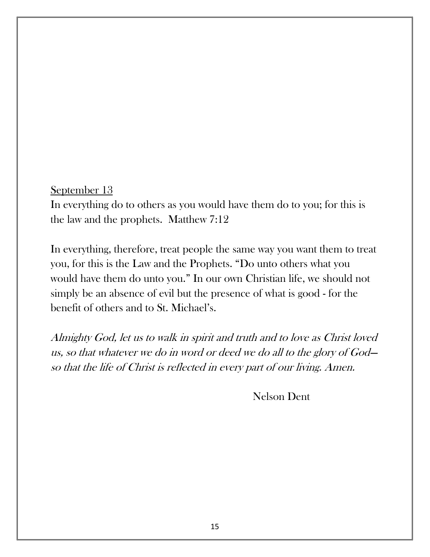In everything do to others as you would have them do to you; for this is the law and the prophets. Matthew 7:12

In everything, therefore, treat people the same way you want them to treat you, for this is the Law and the Prophets. "Do unto others what you would have them do unto you." In our own Christian life, we should not simply be an absence of evil but the presence of what is good - for the benefit of others and to St. Michael's.

Almighty God, let us to walk in spirit and truth and to love as Christ loved us, so that whatever we do in word or deed we do all to the glory of God so that the life of Christ is reflected in every part of our living. Amen.

Nelson Dent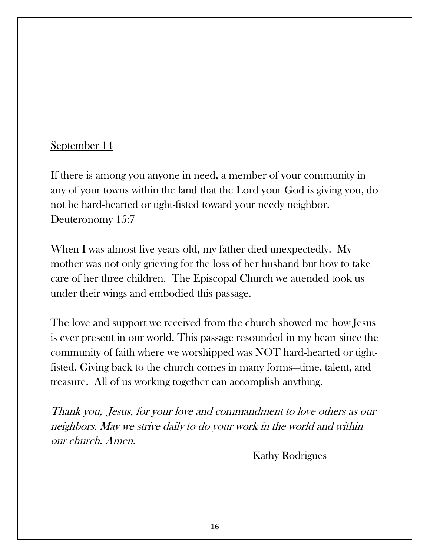If there is among you anyone in need, a member of your community in any of your towns within the land that the Lord your God is giving you, do not be hard-hearted or tight-fisted toward your needy neighbor. Deuteronomy 15:7

When I was almost five years old, my father died unexpectedly. My mother was not only grieving for the loss of her husband but how to take care of her three children. The Episcopal Church we attended took us under their wings and embodied this passage.

The love and support we received from the church showed me how Jesus is ever present in our world. This passage resounded in my heart since the community of faith where we worshipped was NOT hard-hearted or tightfisted. Giving back to the church comes in many forms—time, talent, and treasure. All of us working together can accomplish anything.

Thank you, Jesus, for your love and commandment to love others as our neighbors. May we strive daily to do your work in the world and within our church. Amen.

Kathy Rodrigues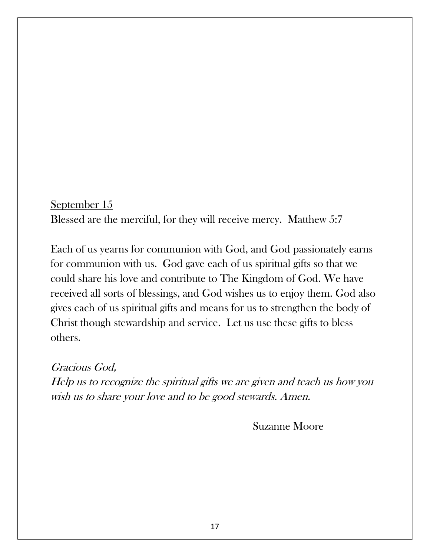September 15 Blessed are the merciful, for they will receive mercy. Matthew 5:7

Each of us yearns for communion with God, and God passionately earns for communion with us. God gave each of us spiritual gifts so that we could share his love and contribute to The Kingdom of God. We have received all sorts of blessings, and God wishes us to enjoy them. God also gives each of us spiritual gifts and means for us to strengthen the body of Christ though stewardship and service. Let us use these gifts to bless others.

Gracious God, Help us to recognize the spiritual gifts we are given and teach us how you wish us to share your love and to be good stewards. Amen.

Suzanne Moore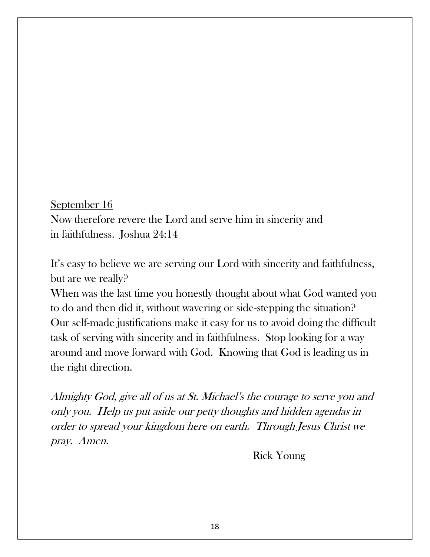September 16 Now therefore revere the Lord and serve him in sincerity and in faithfulness. Joshua 24:14

It's easy to believe we are serving our Lord with sincerity and faithfulness, but are we really?

When was the last time you honestly thought about what God wanted you to do and then did it, without wavering or side-stepping the situation? Our self-made justifications make it easy for us to avoid doing the difficult task of serving with sincerity and in faithfulness. Stop looking for a way around and move forward with God. Knowing that God is leading us in the right direction.

Almighty God, give all of us at St. Michael's the courage to serve you and only you. Help us put aside our petty thoughts and hidden agendas in order to spread your kingdom here on earth. Through Jesus Christ we pray. Amen.

Rick Young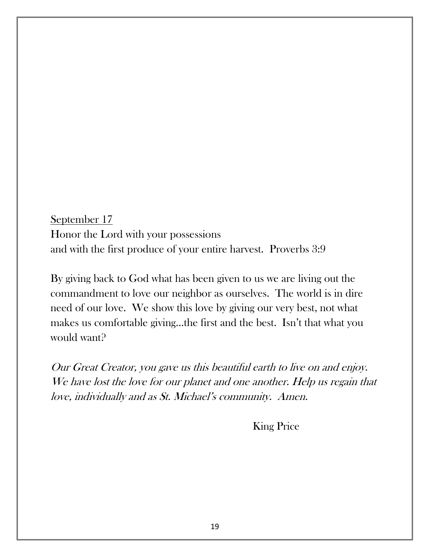September 17 Honor the Lord with your possessions and with the first produce of your entire harvest. Proverbs 3:9

By giving back to God what has been given to us we are living out the commandment to love our neighbor as ourselves. The world is in dire need of our love. We show this love by giving our very best, not what makes us comfortable giving…the first and the best. Isn't that what you would want?

Our Great Creator, you gave us this beautiful earth to live on and enjoy. We have lost the love for our planet and one another. Help us regain that love, individually and as St. Michael's community. Amen.

King Price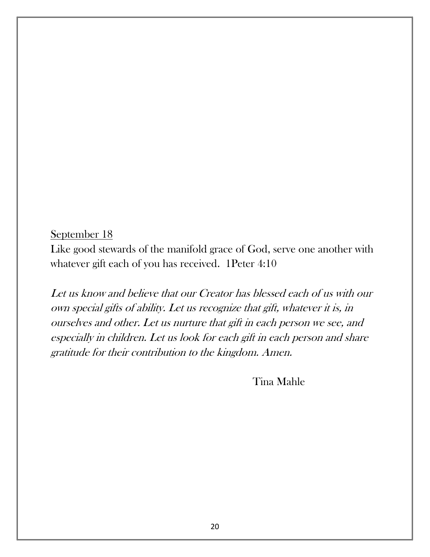Like good stewards of the manifold grace of God, serve one another with whatever gift each of you has received. 1Peter 4:10

Let us know and believe that our Creator has blessed each of us with our own special gifts of ability. Let us recognize that gift, whatever it is, in ourselves and other. Let us nurture that gift in each person we see, and especially in children. Let us look for each gift in each person and share gratitude for their contribution to the kingdom. Amen.

Tina Mahle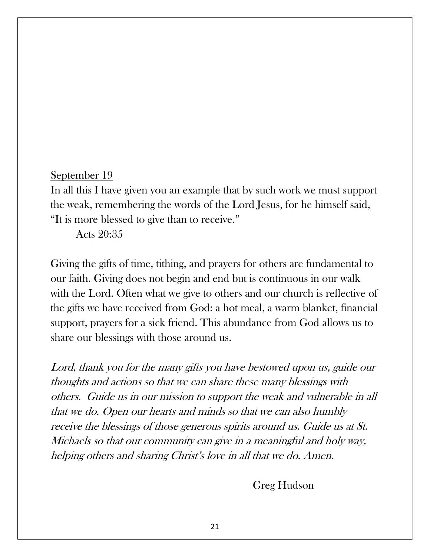In all this I have given you an example that by such work we must support the weak, remembering the words of the Lord Jesus, for he himself said, "It is more blessed to give than to receive."

Acts 20:35

Giving the gifts of time, tithing, and prayers for others are fundamental to our faith. Giving does not begin and end but is continuous in our walk with the Lord. Often what we give to others and our church is reflective of the gifts we have received from God: a hot meal, a warm blanket, financial support, prayers for a sick friend. This abundance from God allows us to share our blessings with those around us.

Lord, thank you for the many gifts you have bestowed upon us, guide our thoughts and actions so that we can share these many blessings with others. Guide us in our mission to support the weak and vulnerable in all that we do. Open our hearts and minds so that we can also humbly receive the blessings of those generous spirits around us. Guide us at St. Michaels so that our community can give in a meaningful and holy way, helping others and sharing Christ's love in all that we do. Amen.

Greg Hudson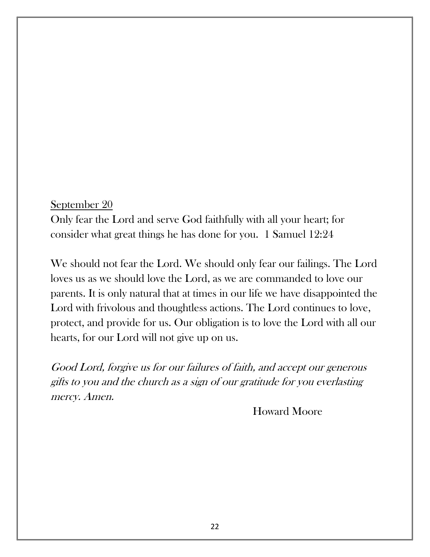Only fear the Lord and serve God faithfully with all your heart; for consider what great things he has done for you. 1 Samuel 12:24

We should not fear the Lord. We should only fear our failings. The Lord loves us as we should love the Lord, as we are commanded to love our parents. It is only natural that at times in our life we have disappointed the Lord with frivolous and thoughtless actions. The Lord continues to love, protect, and provide for us. Our obligation is to love the Lord with all our hearts, for our Lord will not give up on us.

Good Lord, forgive us for our failures of faith, and accept our generous gifts to you and the church as a sign of our gratitude for you everlasting mercy. Amen.

Howard Moore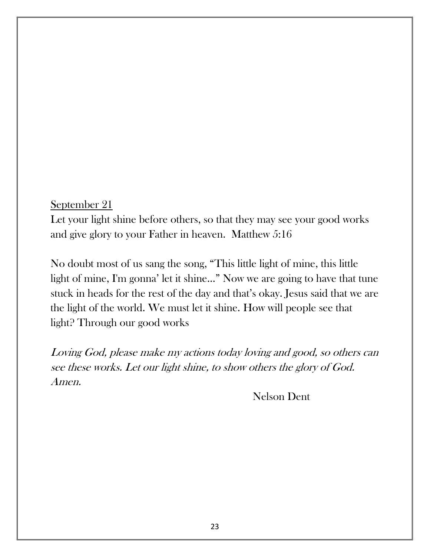Let your light shine before others, so that they may see your good works and give glory to your Father in heaven. Matthew 5:16

No doubt most of us sang the song, "This little light of mine, this little light of mine, I'm gonna' let it shine..." Now we are going to have that tune stuck in heads for the rest of the day and that's okay. Jesus said that we are the light of the world. We must let it shine. How will people see that light? Through our good works

Loving God, please make my actions today loving and good, so others can see these works. Let our light shine, to show others the glory of God. Amen.

Nelson Dent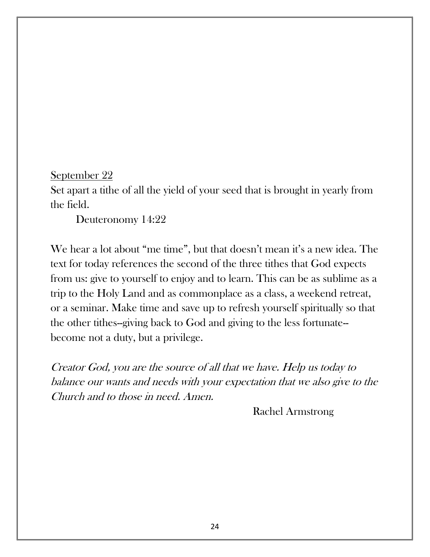Set apart a tithe of all the yield of your seed that is brought in yearly from the field.

Deuteronomy 14:22

We hear a lot about "me time", but that doesn't mean it's a new idea. The text for today references the second of the three tithes that God expects from us: give to yourself to enjoy and to learn. This can be as sublime as a trip to the Holy Land and as commonplace as a class, a weekend retreat, or a seminar. Make time and save up to refresh yourself spiritually so that the other tithes--giving back to God and giving to the less fortunate- become not a duty, but a privilege.

Creator God, you are the source of all that we have. Help us today to balance our wants and needs with your expectation that we also give to the Church and to those in need. Amen.

Rachel Armstrong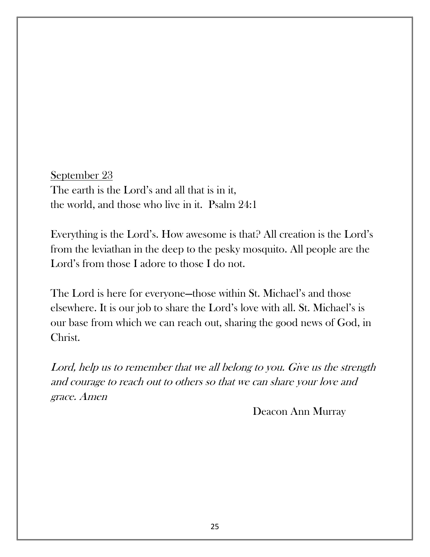September 23 The earth is the Lord's and all that is in it, the world, and those who live in it. Psalm 24:1

Everything is the Lord's. How awesome is that? All creation is the Lord's from the leviathan in the deep to the pesky mosquito. All people are the Lord's from those I adore to those I do not.

The Lord is here for everyone—those within St. Michael's and those elsewhere. It is our job to share the Lord's love with all. St. Michael's is our base from which we can reach out, sharing the good news of God, in Christ.

Lord, help us to remember that we all belong to you. Give us the strength and courage to reach out to others so that we can share your love and grace. Amen

Deacon Ann Murray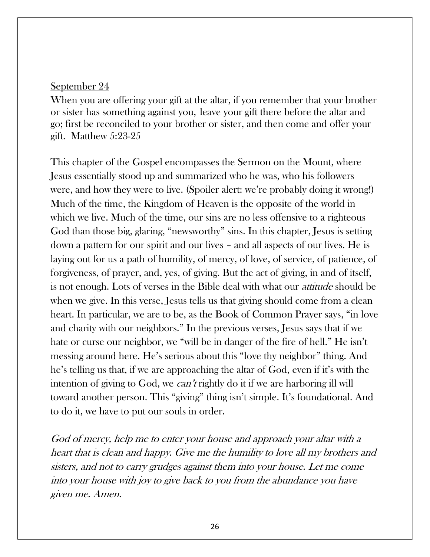When you are offering your gift at the altar, if you remember that your brother or sister has something against you, leave your gift there before the altar and go; first be reconciled to your brother or sister, and then come and offer your gift. Matthew 5:23-25

This chapter of the Gospel encompasses the Sermon on the Mount, where Jesus essentially stood up and summarized who he was, who his followers were, and how they were to live. (Spoiler alert: we're probably doing it wrong!) Much of the time, the Kingdom of Heaven is the opposite of the world in which we live. Much of the time, our sins are no less offensive to a righteous God than those big, glaring, "newsworthy" sins. In this chapter, Jesus is setting down a pattern for our spirit and our lives – and all aspects of our lives. He is laying out for us a path of humility, of mercy, of love, of service, of patience, of forgiveness, of prayer, and, yes, of giving. But the act of giving, in and of itself, is not enough. Lots of verses in the Bible deal with what our attitude should be when we give. In this verse, Jesus tells us that giving should come from a clean heart. In particular, we are to be, as the Book of Common Prayer says, "in love and charity with our neighbors." In the previous verses, Jesus says that if we hate or curse our neighbor, we "will be in danger of the fire of hell." He isn't messing around here. He's serious about this "love thy neighbor" thing. And he's telling us that, if we are approaching the altar of God, even if it's with the intention of giving to God, we *can't* rightly do it if we are harboring ill will toward another person. This "giving" thing isn't simple. It's foundational. And to do it, we have to put our souls in order.

God of mercy, help me to enter your house and approach your altar with a heart that is clean and happy. Give me the humility to love all my brothers and sisters, and not to carry grudges against them into your house. Let me come into your house with joy to give back to you from the abundance you have given me. Amen.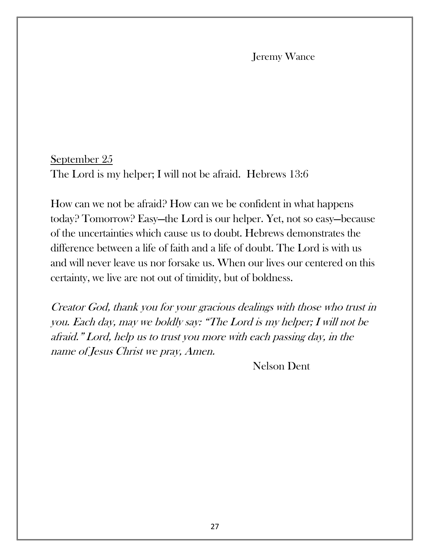#### Jeremy Wance

### September 25 The Lord is my helper; I will not be afraid. Hebrews 13:6

How can we not be afraid? How can we be confident in what happens today? Tomorrow? Easy—the Lord is our helper. Yet, not so easy—because of the uncertainties which cause us to doubt. Hebrews demonstrates the difference between a life of faith and a life of doubt. The Lord is with us and will never leave us nor forsake us. When our lives our centered on this certainty, we live are not out of timidity, but of boldness.

Creator God, thank you for your gracious dealings with those who trust in you. Each day, may we boldly say: "The Lord is my helper; I will not be afraid." Lord, help us to trust you more with each passing day, in the name of Jesus Christ we pray, Amen.

Nelson Dent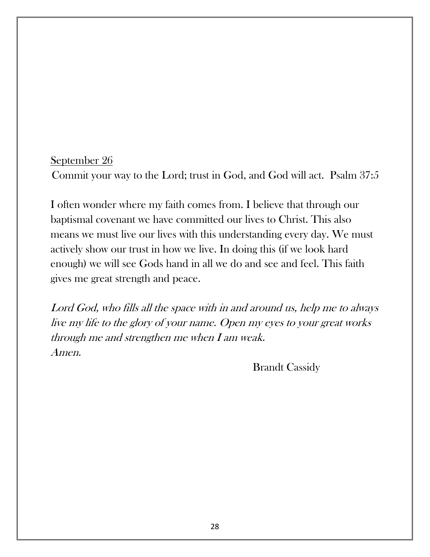## September 26 Commit your way to the Lord; trust in God, and God will act. Psalm 37:5

I often wonder where my faith comes from. I believe that through our baptismal covenant we have committed our lives to Christ. This also means we must live our lives with this understanding every day. We must actively show our trust in how we live. In doing this (if we look hard enough) we will see Gods hand in all we do and see and feel. This faith gives me great strength and peace.

Lord God, who fills all the space with in and around us, help me to always live my life to the glory of your name. Open my eyes to your great works through me and strengthen me when I am weak. Amen.

Brandt Cassidy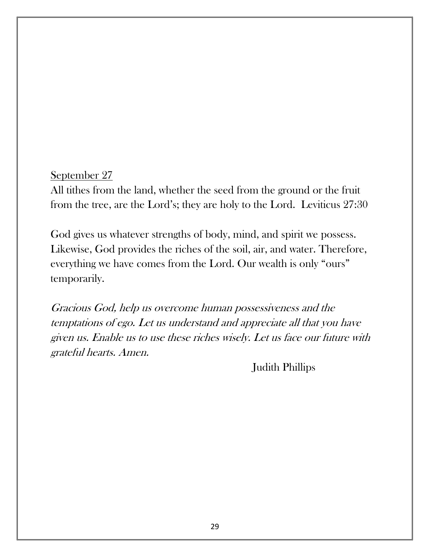All tithes from the land, whether the seed from the ground or the fruit from the tree, are the Lord's; they are holy to the Lord. Leviticus 27:30

God gives us whatever strengths of body, mind, and spirit we possess. Likewise, God provides the riches of the soil, air, and water. Therefore, everything we have comes from the Lord. Our wealth is only "ours" temporarily.

Gracious God, help us overcome human possessiveness and the temptations of ego. Let us understand and appreciate all that you have given us. Enable us to use these riches wisely. Let us face our future with grateful hearts. Amen.

Judith Phillips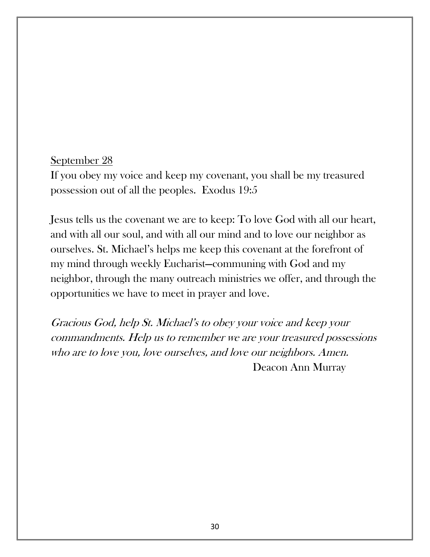If you obey my voice and keep my covenant, you shall be my treasured possession out of all the peoples. Exodus 19:5

Jesus tells us the covenant we are to keep: To love God with all our heart, and with all our soul, and with all our mind and to love our neighbor as ourselves. St. Michael's helps me keep this covenant at the forefront of my mind through weekly Eucharist—communing with God and my neighbor, through the many outreach ministries we offer, and through the opportunities we have to meet in prayer and love.

Gracious God, help St. Michael's to obey your voice and keep your commandments. Help us to remember we are your treasured possessions who are to love you, love ourselves, and love our neighbors. Amen. Deacon Ann Murray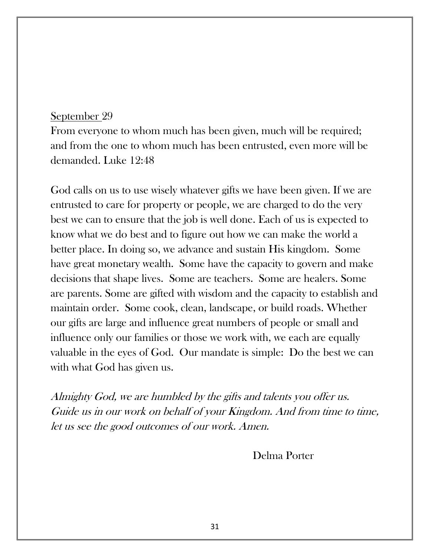From everyone to whom much has been given, much will be required; and from the one to whom much has been entrusted, even more will be demanded. Luke 12:48

God calls on us to use wisely whatever gifts we have been given. If we are entrusted to care for property or people, we are charged to do the very best we can to ensure that the job is well done. Each of us is expected to know what we do best and to figure out how we can make the world a better place. In doing so, we advance and sustain His kingdom. Some have great monetary wealth. Some have the capacity to govern and make decisions that shape lives. Some are teachers. Some are healers. Some are parents. Some are gifted with wisdom and the capacity to establish and maintain order. Some cook, clean, landscape, or build roads. Whether our gifts are large and influence great numbers of people or small and influence only our families or those we work with, we each are equally valuable in the eyes of God. Our mandate is simple: Do the best we can with what God has given us.

Almighty God, we are humbled by the gifts and talents you offer us. Guide us in our work on behalf of your Kingdom. And from time to time, let us see the good outcomes of our work. Amen.

Delma Porter